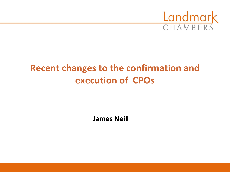

# **Recent changes to the confirmation and execution of CPOs**

**James Neill**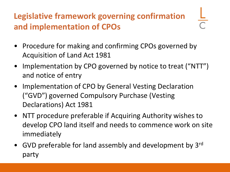## **Legislative framework governing confirmation and implementation of CPOs**

- Procedure for making and confirming CPOs governed by Acquisition of Land Act 1981
- Implementation by CPO governed by notice to treat ("NTT") and notice of entry
- Implementation of CPO by General Vesting Declaration ("GVD") governed Compulsory Purchase (Vesting Declarations) Act 1981
- NTT procedure preferable if Acquiring Authority wishes to develop CPO land itself and needs to commence work on site immediately
- GVD preferable for land assembly and development by 3<sup>rd</sup> party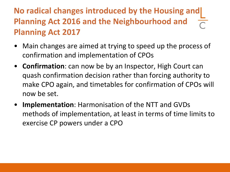### **No radical changes introduced by the Housing and | Planning Act 2016 and the Neighbourhood and Planning Act 2017**

- Main changes are aimed at trying to speed up the process of confirmation and implementation of CPOs
- **Confirmation**: can now be by an Inspector, High Court can quash confirmation decision rather than forcing authority to make CPO again, and timetables for confirmation of CPOs will now be set.
- **Implementation**: Harmonisation of the NTT and GVDs methods of implementation, at least in terms of time limits to exercise CP powers under a CPO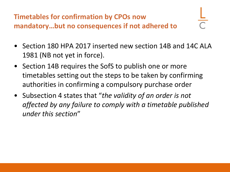**Timetables for confirmation by CPOs now mandatory…but no consequences if not adhered to**

- 
- Section 180 HPA 2017 inserted new section 14B and 14C ALA 1981 (NB not yet in force).
- Section 14B requires the SofS to publish one or more timetables setting out the steps to be taken by confirming authorities in confirming a compulsory purchase order
- Subsection 4 states that "*the validity of an order is not affected by any failure to comply with a timetable published under this section*"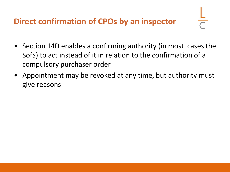#### **Direct confirmation of CPOs by an inspector**

- Section 14D enables a confirming authority (in most cases the SofS) to act instead of it in relation to the confirmation of a compulsory purchaser order
- Appointment may be revoked at any time, but authority must give reasons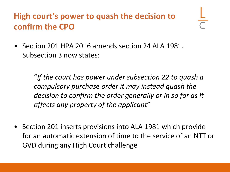### **High court's power to quash the decision to confirm the CPO**

• Section 201 HPA 2016 amends section 24 ALA 1981. Subsection 3 now states:

> "*If the court has power under subsection 22 to quash a compulsory purchase order it may instead quash the decision to confirm the order generally or in so far as it affects any property of the applicant*"

• Section 201 inserts provisions into ALA 1981 which provide for an automatic extension of time to the service of an NTT or GVD during any High Court challenge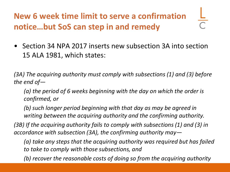# **New 6 week time limit to serve a confirmation notice…but SoS can step in and remedy**

• Section 34 NPA 2017 inserts new subsection 3A into section 15 ALA 1981, which states:

*(3A) The acquiring authority must comply with subsections (1) and (3) before the end of—*

*(a) the period of 6 weeks beginning with the day on which the order is confirmed, or*

*(b) such longer period beginning with that day as may be agreed in writing between the acquiring authority and the confirming authority.*

*(3B) If the acquiring authority fails to comply with subsections (1) and (3) in accordance with subsection (3A), the confirming authority may—*

*(a) take any steps that the acquiring authority was required but has failed to take to comply with those subsections, and*

*(b) recover the reasonable costs of doing so from the acquiring authority*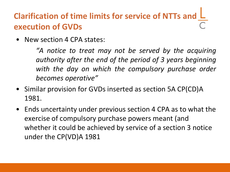### **Clarification of time limits for service of NTTs and execution of GVDs**

• New section 4 CPA states:

*"A notice to treat may not be served by the acquiring authority after the end of the period of 3 years beginning with the day on which the compulsory purchase order becomes operative"*

- Similar provision for GVDs inserted as section 5A CP(CD)A 1981.
- Ends uncertainty under previous section 4 CPA as to what the exercise of compulsory purchase powers meant (and whether it could be achieved by service of a section 3 notice under the CP(VD)A 1981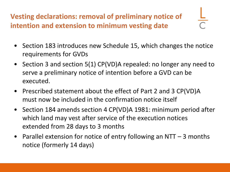**Vesting declarations: removal of preliminary notice of intention and extension to minimum vesting date**

- Section 183 introduces new Schedule 15, which changes the notice requirements for GVDs
- Section 3 and section 5(1) CP(VD)A repealed: no longer any need to serve a preliminary notice of intention before a GVD can be executed.
- Prescribed statement about the effect of Part 2 and 3 CP(VD)A must now be included in the confirmation notice itself
- Section 184 amends section 4 CP(VD)A 1981: minimum period after which land may vest after service of the execution notices extended from 28 days to 3 months
- Parallel extension for notice of entry following an NTT  $-$  3 months notice (formerly 14 days)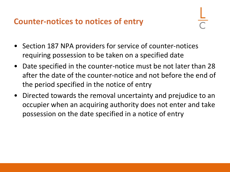#### **Counter-notices to notices of entry**

- Section 187 NPA providers for service of counter-notices requiring possession to be taken on a specified date
- Date specified in the counter-notice must be not later than 28 after the date of the counter-notice and not before the end of the period specified in the notice of entry
- Directed towards the removal uncertainty and prejudice to an occupier when an acquiring authority does not enter and take possession on the date specified in a notice of entry